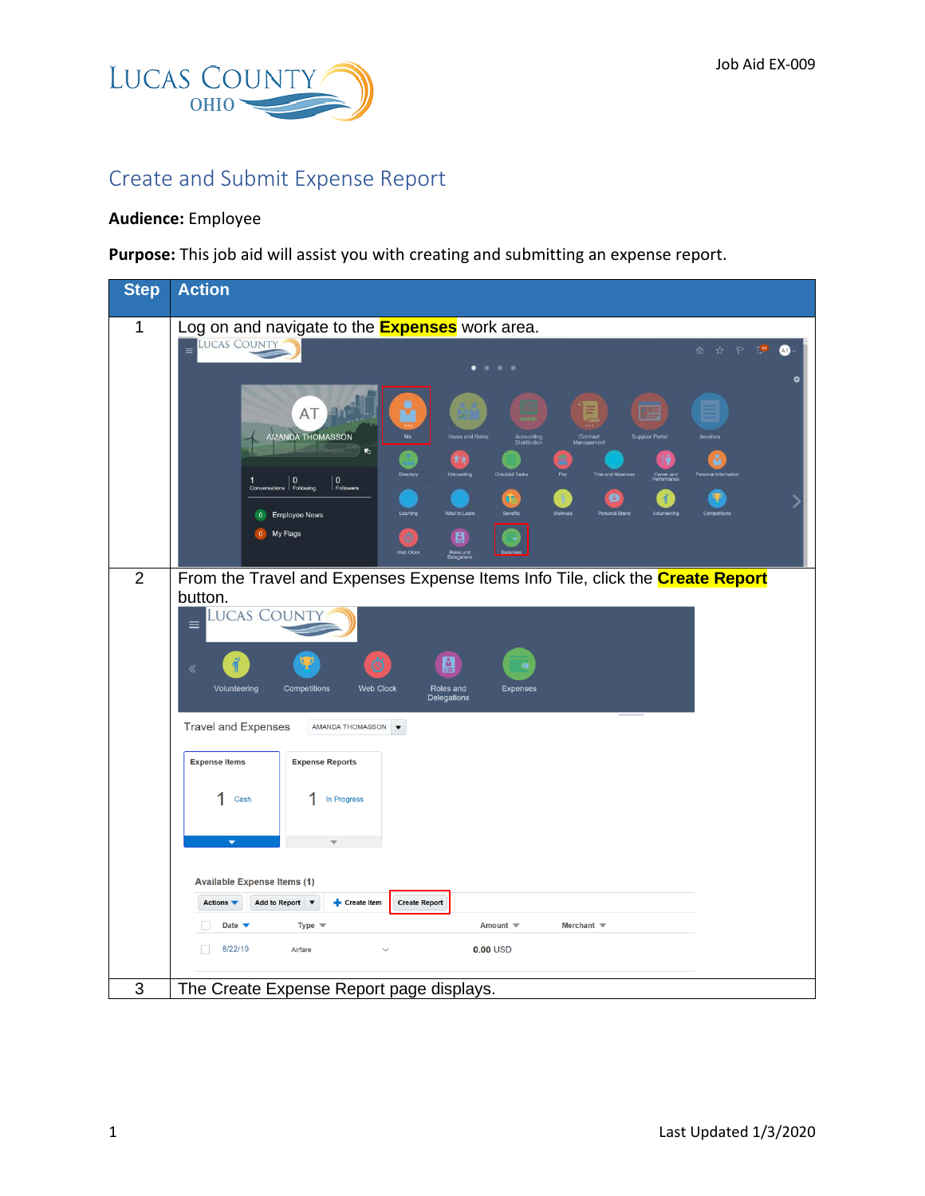

## Create and Submit Expense Report

## **Audience:** Employee

**Purpose:** This job aid will assist you with creating and submitting an expense report.

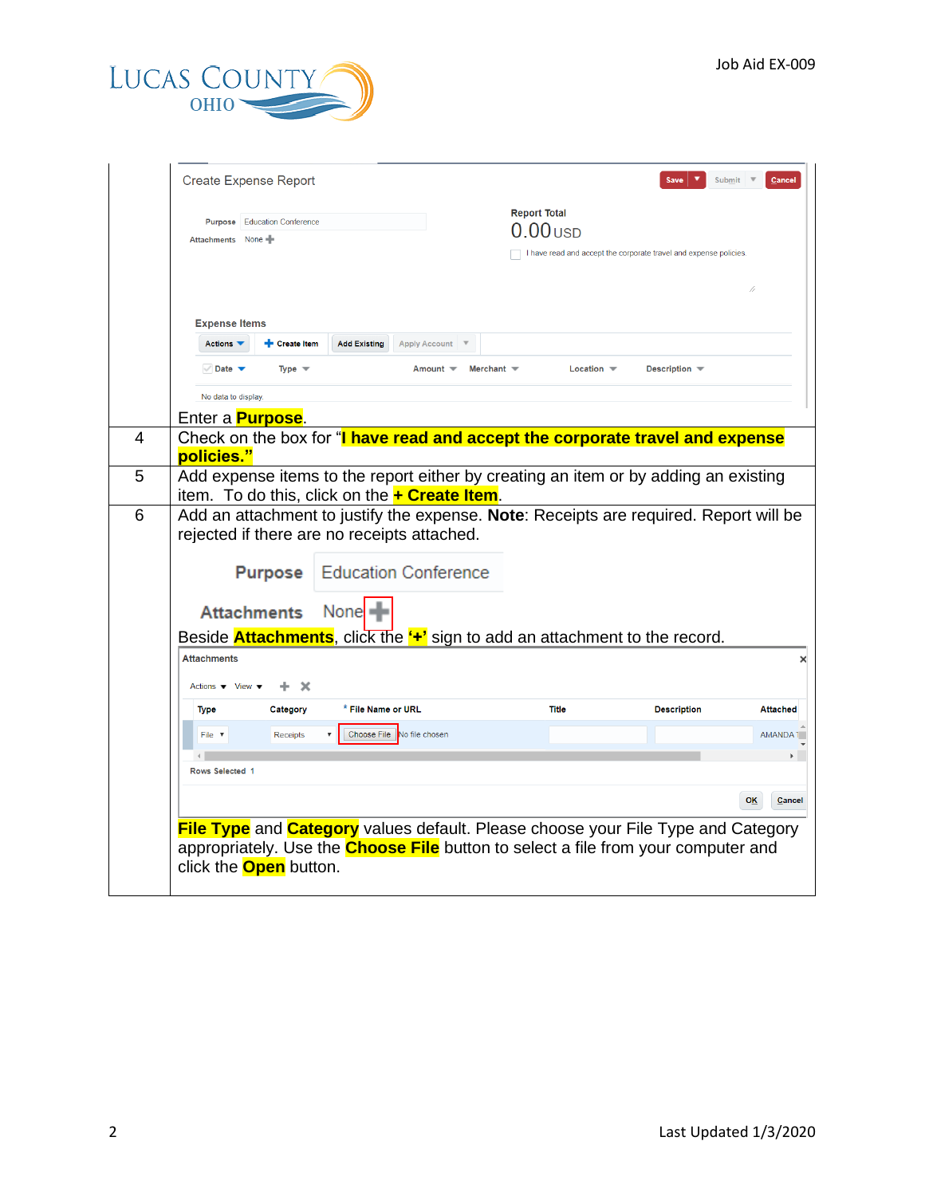

|                                                                              | <b>Create Expense Report</b>  |                               |                                                       |                   |                                   | Save                                                                                                                                                                                       | Submit<br>Cancel |
|------------------------------------------------------------------------------|-------------------------------|-------------------------------|-------------------------------------------------------|-------------------|-----------------------------------|--------------------------------------------------------------------------------------------------------------------------------------------------------------------------------------------|------------------|
| Attachments None                                                             | Purpose Education Conference  |                               |                                                       |                   | <b>Report Total</b><br>$0.00$ USD | I have read and accept the corporate travel and expense policies.                                                                                                                          |                  |
| <b>Expense Items</b><br>Actions $\blacktriangledown$                         | Create Item                   | <b>Add Existing</b>           | <b>Apply Account</b>                                  |                   |                                   |                                                                                                                                                                                            |                  |
| $\vee$ Date $\blacktriangledown$                                             | Type $\equiv$                 |                               | Amount $\blacktriangledown$                           | Merchant $\equiv$ | Location $\equiv$                 | Description –                                                                                                                                                                              |                  |
| No data to display.                                                          |                               |                               |                                                       |                   |                                   |                                                                                                                                                                                            |                  |
|                                                                              | Enter a <b>Purpose</b> .      |                               |                                                       |                   |                                   |                                                                                                                                                                                            |                  |
| policies."                                                                   |                               |                               |                                                       |                   |                                   | Check on the box for "I have read and accept the corporate travel and expense                                                                                                              |                  |
|                                                                              |                               |                               | item. To do this, click on the <b>+ Create Item</b> . |                   |                                   | Add expense items to the report either by creating an item or by adding an existing                                                                                                        |                  |
|                                                                              |                               |                               | rejected if there are no receipts attached.           |                   |                                   | Add an attachment to justify the expense. Note: Receipts are required. Report will be                                                                                                      |                  |
|                                                                              | <b>Purpose</b>                |                               | <b>Education Conference</b>                           |                   |                                   |                                                                                                                                                                                            |                  |
|                                                                              | <b>Attachments</b>            | None $\blacksquare$           |                                                       |                   |                                   |                                                                                                                                                                                            |                  |
|                                                                              |                               |                               |                                                       |                   |                                   | Beside <b>Attachments</b> , click the "+" sign to add an attachment to the record.                                                                                                         |                  |
| <b>Attachments</b><br>Actions $\blacktriangledown$ View $\blacktriangledown$ | x                             |                               |                                                       |                   |                                   |                                                                                                                                                                                            |                  |
| <b>Type</b>                                                                  | Category                      | <sup>*</sup> File Name or URL |                                                       |                   | <b>Title</b>                      | <b>Description</b>                                                                                                                                                                         | <b>Attached</b>  |
| File v<br>Rows Selected 1                                                    | <b>Receipts</b>               |                               | Choose File No file chosen                            |                   |                                   |                                                                                                                                                                                            | <b>AMANDA</b>    |
|                                                                              |                               |                               |                                                       |                   |                                   |                                                                                                                                                                                            | OK<br>Cancel     |
|                                                                              | click the <b>Open</b> button. |                               |                                                       |                   |                                   | <b>File Type</b> and <b>Category</b> values default. Please choose your File Type and Category<br>appropriately. Use the <b>Choose File</b> button to select a file from your computer and |                  |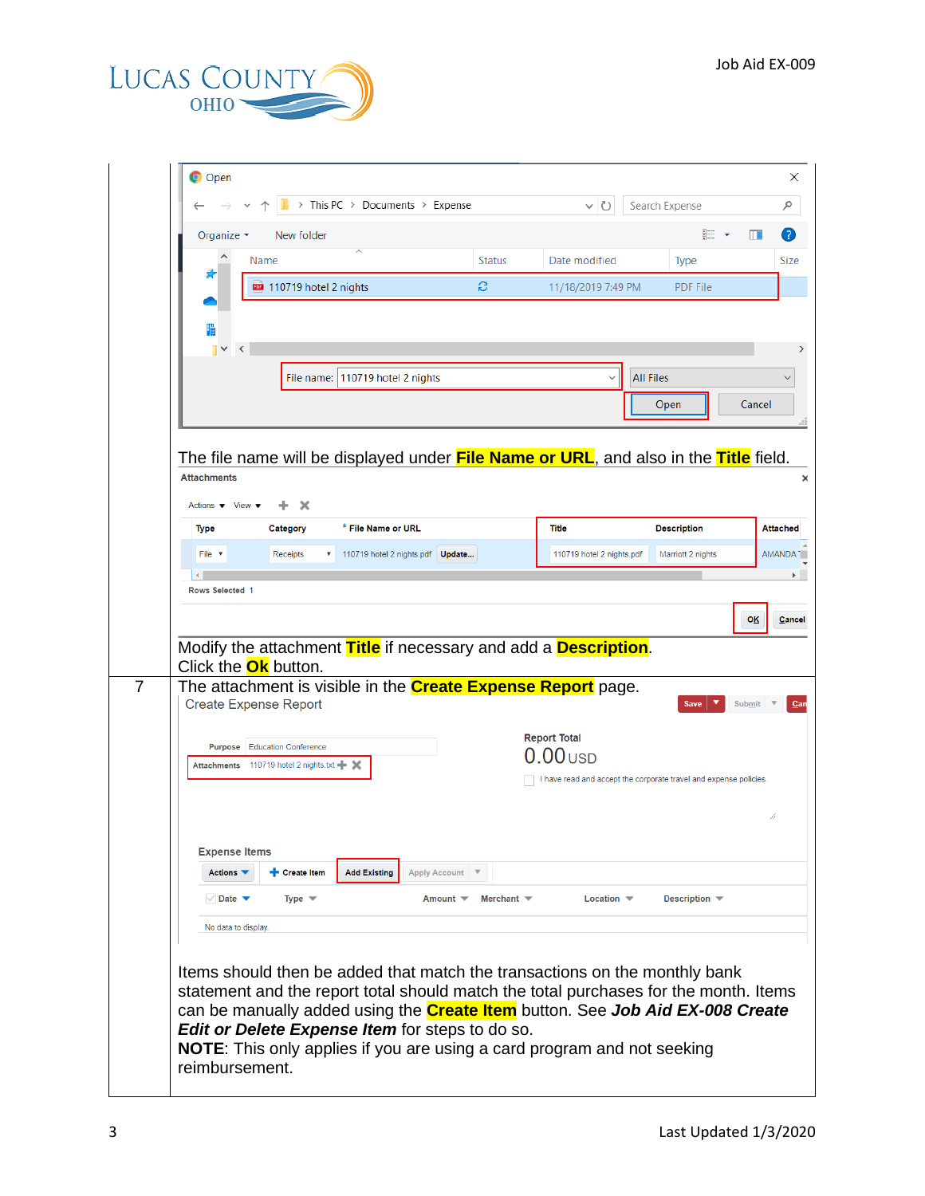

|                                                        | Name                                      |                                  | <b>Status</b>                        | Date modified                                                                                                                                                      | Type                             |
|--------------------------------------------------------|-------------------------------------------|----------------------------------|--------------------------------------|--------------------------------------------------------------------------------------------------------------------------------------------------------------------|----------------------------------|
|                                                        | 110719 hotel 2 nights                     |                                  | S                                    | 11/18/2019 7:49 PM                                                                                                                                                 | <b>PDF File</b>                  |
|                                                        |                                           |                                  |                                      |                                                                                                                                                                    |                                  |
| 隕                                                      | ∢                                         |                                  |                                      |                                                                                                                                                                    |                                  |
|                                                        |                                           | File name: 110719 hotel 2 nights |                                      |                                                                                                                                                                    | <b>All Files</b>                 |
|                                                        |                                           |                                  |                                      |                                                                                                                                                                    | Open                             |
|                                                        |                                           |                                  |                                      |                                                                                                                                                                    |                                  |
|                                                        |                                           |                                  |                                      | The file name will be displayed under <b>File Name or URL</b> , and also in the <b>Title</b> field.                                                                |                                  |
| <b>Attachments</b>                                     |                                           |                                  |                                      |                                                                                                                                                                    |                                  |
|                                                        |                                           |                                  |                                      |                                                                                                                                                                    |                                  |
| Actions $\blacktriangledown$ View $\blacktriangledown$ | $\boldsymbol{\times}$                     |                                  |                                      |                                                                                                                                                                    |                                  |
| <b>Type</b>                                            | Category                                  | * File Name or URL               |                                      | Title                                                                                                                                                              | <b>Description</b>               |
| File $\sqrt{ }$                                        | Receipts                                  | 110719 hotel 2 nights.pdf Update |                                      | 110719 hotel 2 nights.pdf                                                                                                                                          | Marriott 2 nights                |
| <b>Rows Selected 1</b>                                 |                                           |                                  |                                      |                                                                                                                                                                    |                                  |
|                                                        |                                           |                                  |                                      |                                                                                                                                                                    |                                  |
|                                                        |                                           |                                  |                                      |                                                                                                                                                                    |                                  |
|                                                        |                                           |                                  |                                      |                                                                                                                                                                    |                                  |
|                                                        |                                           |                                  |                                      |                                                                                                                                                                    |                                  |
|                                                        |                                           |                                  |                                      | Modify the attachment Title if necessary and add a Description.                                                                                                    |                                  |
|                                                        | Click the <b>Ok</b> button.               |                                  |                                      |                                                                                                                                                                    |                                  |
|                                                        | <b>Create Expense Report</b>              |                                  |                                      | The attachment is visible in the <b>Create Expense Report</b> page.                                                                                                | <b>Save</b>                      |
|                                                        |                                           |                                  |                                      |                                                                                                                                                                    |                                  |
|                                                        | <b>Purpose</b> Education Conference       |                                  |                                      | <b>Report Total</b>                                                                                                                                                |                                  |
|                                                        | Attachments 110719 hotel 2 nights.txt - X |                                  |                                      | $00$ USD                                                                                                                                                           |                                  |
|                                                        |                                           |                                  |                                      | I have read and accept the corporate travel and expense policies.                                                                                                  |                                  |
|                                                        |                                           |                                  |                                      |                                                                                                                                                                    |                                  |
|                                                        |                                           |                                  |                                      |                                                                                                                                                                    |                                  |
|                                                        | <b>Expense Items</b>                      |                                  |                                      |                                                                                                                                                                    |                                  |
| Actions <b>v</b>                                       | <b>+</b> Create Item                      | <b>Add Existing</b>              | <b>Apply Account</b>                 |                                                                                                                                                                    |                                  |
| $\vee$ Date $\blacktriangledown$                       | Type $\equiv$                             |                                  | Amount <b>▼</b><br>Merchant $\equiv$ | Location $\blacktriangledown$                                                                                                                                      | Description $\blacktriangledown$ |
|                                                        | No data to display.                       |                                  |                                      |                                                                                                                                                                    |                                  |
|                                                        |                                           |                                  |                                      |                                                                                                                                                                    |                                  |
|                                                        |                                           |                                  |                                      |                                                                                                                                                                    |                                  |
|                                                        |                                           |                                  |                                      | Items should then be added that match the transactions on the monthly bank<br>statement and the report total should match the total purchases for the month. Items |                                  |